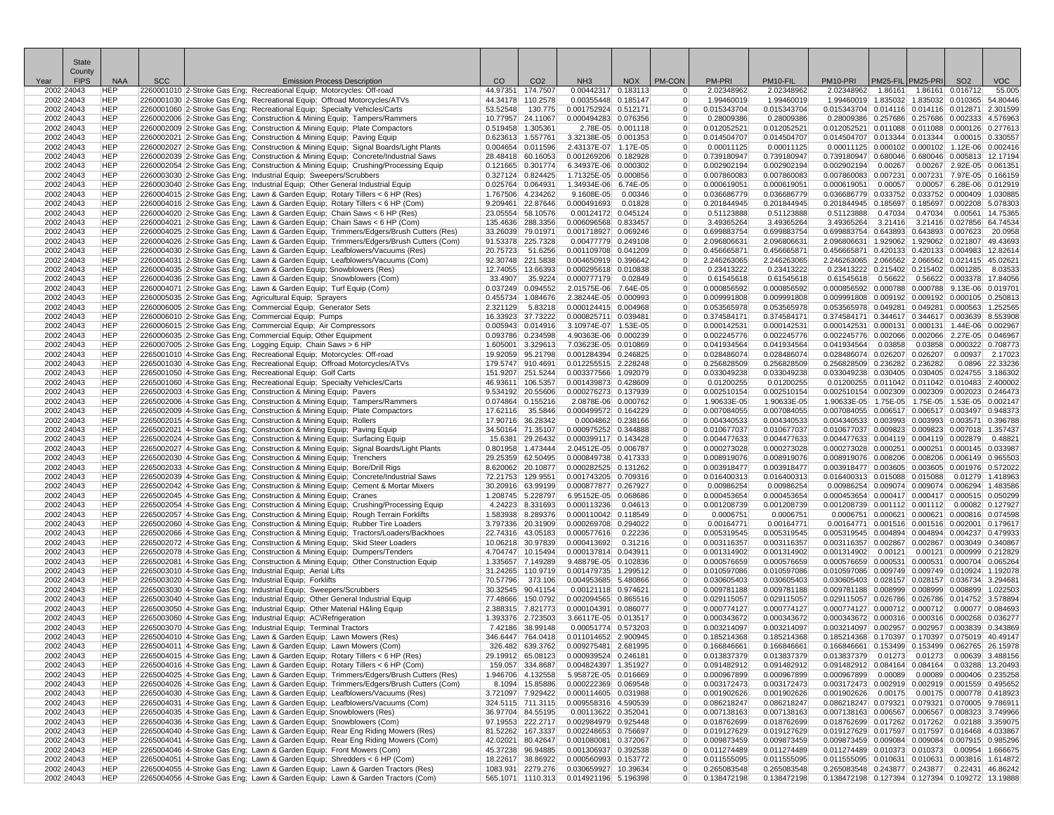|      | State<br>County           |                          |            |                                                                                                                                                                                |          |                                        |                                              |                   |                                  |                            |                            |                                                                                                            |                     |                                        |                                                 |                      |
|------|---------------------------|--------------------------|------------|--------------------------------------------------------------------------------------------------------------------------------------------------------------------------------|----------|----------------------------------------|----------------------------------------------|-------------------|----------------------------------|----------------------------|----------------------------|------------------------------------------------------------------------------------------------------------|---------------------|----------------------------------------|-------------------------------------------------|----------------------|
| Year | <b>FIPS</b><br>2002 24043 | <b>NAA</b><br><b>HEP</b> | <b>SCC</b> | <b>Emission Process Description</b>                                                                                                                                            | CO       | CO <sub>2</sub>                        | NH <sub>3</sub><br>0.00442317 0.183113       | <b>NOX</b>        | PM-CON                           | PM-PRI<br>2.02348962       | PM10-FIL<br>2.02348962     | PM10-PRI<br>2.02348962                                                                                     | PM25-FIL<br>1.86161 | PM25-PRI                               | SO <sub>2</sub><br>1.86161 0.016712             | <b>VOC</b><br>55.005 |
|      | 2002 24043                | <b>HEP</b>               |            | 2260001010 2-Stroke Gas Eng; Recreational Equip; Motorcycles: Off-road<br>2260001030 2-Stroke Gas Eng; Recreational Equip; Offroad Motorcycles/ATVs                            |          | 44.97351 174.7507<br>44.34178 110.2578 | 0.00355448 0.185147                          |                   | $\Omega$                         | 1.99460019                 | 1.99460019                 | 1.99460019 1.835032 1.835032 0.010365                                                                      |                     |                                        |                                                 | 54.80446             |
|      | 2002 24043                | <b>HEP</b>               |            | 2260001060 2-Stroke Gas Eng; Recreational Equip; Specialty Vehicles/Carts                                                                                                      | 53.52548 | 130.775                                | 0.001752924 0.512171                         |                   | $\overline{0}$                   | 0.015343704                | 0.015343704                | 0.015343704 0.014116 0.014116 0.012871                                                                     |                     |                                        |                                                 | 2.301599             |
|      | 2002 24043                | <b>HEP</b>               |            | 2260002006 2-Stroke Gas Eng; Construction & Mining Equip; Tampers/Rammers                                                                                                      |          | 10.77957 24.11067                      | 0.000494283 0.076356                         |                   | $\overline{0}$                   | 0.28009386                 | 0.28009386                 | 0.28009386 0.257686 0.257686 0.002333                                                                      |                     |                                        |                                                 | 4.576963             |
|      | 2002 24043<br>2002 24043  | <b>HEP</b><br><b>HEP</b> |            | 2260002009 2-Stroke Gas Eng; Construction & Mining Equip; Plate Compactors<br>2260002021 2-Stroke Gas Eng; Construction & Mining Equip; Paving Equip                           |          | 0.519458 1.305361<br>0.623613 1.557761 | 3.32138E-05 0.001353                         | 2.78E-05 0.001118 | $\Omega$<br>$\overline{0}$       | 0.012052521<br>0.014504707 | 0.012052521<br>0.014504707 | 0.012052521 0.011088 0.011088 0.000126 0.277613<br>0.014504707 0.013344 0.013344 0.00015 0.330557          |                     |                                        |                                                 |                      |
|      | 2002 24043                | <b>HEP</b>               |            | 2260002027 2-Stroke Gas Eng; Construction & Mining Equip; Signal Boards/Light Plants                                                                                           |          | 0.004654 0.011596                      | 2.43137E-07 1.17E-05                         |                   | $\Omega$                         | 0.00011125                 | 0.00011125                 | $0.00011125$ $0.000102$ $0.000102$ 1.12E-06                                                                |                     |                                        |                                                 | 0.00241              |
|      | 2002 24043                | <b>HEP</b>               |            | 2260002039 2-Stroke Gas Eng; Construction & Mining Equip; Concrete/Industrial Saws                                                                                             |          | 28.48418 60.16053                      | 0.001269206 0.182928                         |                   | $\overline{0}$                   | 0.739180947                | 0.739180947                | 0.739180947 0.680046 0.680046 0.005813 12.1719                                                             |                     |                                        |                                                 |                      |
|      | 2002 24043<br>2002 24043  | <b>HEP</b><br><b>HEP</b> |            | 2260002054 2-Stroke Gas Eng; Construction & Mining Equip; Crushing/Processing Equip<br>2260003030 2-Stroke Gas Eng; Industrial Equip; Sweepers/Scrubbers                       |          | 0.121665 0.301774<br>0.327124 0.824425 | 6.34937E-06 0.000302<br>1.71325E-05 0.000856 |                   | $\Omega$<br>$\overline{0}$       | 0.002902194<br>0.007860083 | 0.002902194<br>0.007860083 | 0.002902194<br>0.007860083 0.007231                                                                        | 0.00267             |                                        | 0.00267 2.92E-05 0.06135<br>$0.007231$ 7.97E-05 | 0.166159             |
|      | 2002 24043                | <b>HEP</b>               |            | 2260003040 2-Stroke Gas Eng; Industrial Equip; Other General Industrial Equip                                                                                                  |          | 0.025764 0.064931                      | 1.34934E-06 6.74E-05                         |                   | $\overline{0}$                   | 0.000619051                | 0.000619051                | 0.000619051                                                                                                | 0.00057             |                                        | $0.00057$ 6.28E-06                              | 0.012919             |
|      | 2002 24043                | <b>HEP</b>               |            | 2260004015 2-Stroke Gas Eng; Lawn & Garden Equip; Rotary Tillers < 6 HP (Res)                                                                                                  |          | 1.767506 4.234262                      | 9.1608E-05                                   | 0.00346           | $\overline{0}$                   | 0.036686779                | 0.036686779                | 0.036686779 0.033752 0.033752 0.000409                                                                     |                     |                                        |                                                 | 1.03088              |
|      | 2002 24043                | <b>HEP</b><br><b>HEP</b> |            | 2260004016 2-Stroke Gas Eng; Lawn & Garden Equip; Rotary Tillers < 6 HP (Com)                                                                                                  |          | 9.209461 22.87646                      | 0.000491693                                  | 0.01828           | $\Omega$<br>$\overline{0}$       | 0.201844945<br>0.51123888  | 0.201844945<br>0.51123888  | $0.201844945$ $0.185697$ $0.185697$ $0.002208$                                                             |                     |                                        |                                                 | 5.07830<br>14.7536   |
|      | 2002 24043<br>2002 24043  | <b>HEP</b>               |            | 2260004020 2-Stroke Gas Eng; Lawn & Garden Equip; Chain Saws < 6 HP (Res)<br>2260004021 2-Stroke Gas Eng; Lawn & Garden Equip; Chain Saws < 6 HP (Com)                         |          | 23.05554 58.10576<br>135.4636 288.3356 | 0.00124172 0.045124<br>0.006096568 0.833457  |                   | $\Omega$                         | 3.49365264                 | 3.49365264                 | 0.51123888<br>3.49365264                                                                                   | 0.47034<br>3.21416  |                                        | 0.47034 0.00561<br>3.21416 0.027856 64.74534    |                      |
|      | 2002 24043                | <b>HEP</b>               |            | 2260004025 2-Stroke Gas Eng; Lawn & Garden Equip; Trimmers/Edgers/Brush Cutters (Res)                                                                                          |          | 33.26039 79.01971                      | 0.001718927 0.069246                         |                   | $\overline{0}$                   | 0.699883754                | 0.699883754                | 0.699883754 0.643893 0.643893 0.007623                                                                     |                     |                                        |                                                 | 20.0958              |
|      | 2002 24043                | <b>HEP</b>               |            | 2260004026 2-Stroke Gas Eng; Lawn & Garden Equip; Trimmers/Edgers/Brush Cutters (Com)                                                                                          |          | 91.53378 225.7328                      | 0.00477779 0.249108                          |                   | $\overline{0}$                   | 2.096806631                | 2.096806631                | 2.096806631  1.929062  1.929062  0.021807  49.43693                                                        |                     |                                        |                                                 |                      |
|      | 2002 24043<br>2002 24043  | <b>HEP</b><br><b>HEP</b> |            | 2260004030 2-Stroke Gas Eng; Lawn & Garden Equip; Leafblowers/Vacuums (Res)<br>2260004031 2-Stroke Gas Eng; Lawn & Garden Equip; Leafblowers/Vacuums (Com)                     |          | 20.75723 51.6256<br>92.30748 221.5838  | 0.001109708 0.041209<br>0.004650919 0.396642 |                   | $\overline{0}$<br>$\overline{0}$ | 0.456665871<br>2.246263065 | 0.456665871<br>2.246263065 | 0.456665871 0.420133 0.420133 0.004983<br>2.246263065 2.066562 2.066562 0.021415                           |                     |                                        |                                                 | 12.8261<br>45.0262   |
|      | 2002 24043                | <b>HEP</b>               |            | 2260004035 2-Stroke Gas Eng; Lawn & Garden Equip; Snowblowers (Res)                                                                                                            |          | 12.74055 13.66393                      | 0.000295618 0.010838                         |                   | $\Omega$                         | 0.23413222                 | 0.23413222                 | 0.23413222 0.215402 0.215402 0.001285                                                                      |                     |                                        |                                                 | 8.0353               |
|      | 2002 24043                | <b>HEP</b>               |            | 2260004036 2-Stroke Gas Eng; Lawn & Garden Equip; Snowblowers (Com)                                                                                                            | 33.4907  | 35.9224                                | 0.000777179                                  | 0.02849           | $\overline{0}$                   | 0.61545618                 | 0.61545618                 | $0.61545618$ 0.56622                                                                                       |                     |                                        | $0.56622$ 0.003378                              | 17.84056             |
|      | 2002 24043<br>2002 24043  | <b>HEP</b><br><b>HEP</b> |            | 2260004071 2-Stroke Gas Eng; Lawn & Garden Equip; Turf Equip (Com)                                                                                                             |          | 0.037249 0.094552<br>0.455734 1.084676 | 2.01575E-06 7.64E-05<br>2.38244E-05 0.000993 |                   | $\overline{0}$<br>$\overline{0}$ | 0.000856592<br>0.009991808 | 0.000856592<br>0.009991808 | 0.000856592 0.000788 0.000788 9.13E-06                                                                     |                     |                                        |                                                 | 0.01970              |
|      | 2002 24043                | <b>HEP</b>               |            | 2260005035 2-Stroke Gas Eng; Agricultural Equip; Sprayers<br>2260006005 2-Stroke Gas Eng; Commercial Equip; Generator Sets                                                     | 2.321129 | 5.83218                                | 0.000124415 0.004968                         |                   | $\Omega$                         | 0.053565978                | 0.053565978                | $0.009991808$ $0.009192$ $0.009192$ $0.000105$ $0.25081$<br>$0.053565978$ $0.049281$ $0.049281$ $0.000563$ |                     |                                        |                                                 | 1.25256              |
|      | 2002 24043                | <b>HEP</b>               |            | 2260006010 2-Stroke Gas Eng; Commercial Equip; Pumps                                                                                                                           |          | 16.33923 37.73222                      | 0.000825711 0.039481                         |                   | $\overline{0}$                   | 0.374584171                | 0.374584171                | 0.374584171 0.344617 0.344617 0.003639                                                                     |                     |                                        |                                                 | 8.553908             |
|      | 2002 24043                | <b>HEP</b>               |            | 2260006015 2-Stroke Gas Eng; Commercial Equip; Air Compressors                                                                                                                 |          | 0.005943 0.014916                      | 3.10974E-07 1.53E-05                         |                   | $\overline{0}$                   | 0.000142531                | 0.000142531                | 0.000142531 0.000131 0.000131 1.44E-06 0.00296                                                             |                     |                                        |                                                 |                      |
|      | 2002 24043<br>2002 24043  | <b>HEP</b><br><b>HEP</b> |            | 2260006035 2-Stroke Gas Eng; Commercial Equip; Other Equipment<br>2260007005 2-Stroke Gas Eng; Logging Equip; Chain Saws > 6 HP                                                |          | 0.093786 0.234598<br>1.605001 3.329613 | 4.90363E-06 0.000239<br>7.03623E-05 0.010869 |                   | $\Omega$<br>$\Omega$             | 0.002245776<br>0.041934564 | 0.002245776<br>0.041934564 | 0.002245776 0.002066 0.002066 2.27E-05<br>0.041934564 0.03858                                              |                     |                                        | 0.03858 0.000322 0.708773                       | 0.046967             |
|      | 2002 24043                | <b>HEP</b>               |            | 2265001010 4-Stroke Gas Eng; Recreational Equip; Motorcycles: Off-road                                                                                                         |          | 19.92059 95.21798                      | 0.001284394 0.246825                         |                   | $\overline{0}$                   | 0.028486074                | 0.028486074                | $0.028486074$ 0.026207 0.026207                                                                            |                     |                                        | 0.00937                                         | 2.1702               |
|      | 2002 24043                | <b>HEP</b>               |            | 2265001030 4-Stroke Gas Eng; Recreational Equip; Offroad Motorcycles/ATVs                                                                                                      |          | 179.5747 910.4691                      | 0.012255515 2.228248                         |                   | $\overline{0}$                   | 0.256828509                | 0.256828509                | 0.256828509 0.236282 0.236282                                                                              |                     |                                        | 0.0896                                          | 22.33236             |
|      | 2002 24043                | <b>HEP</b>               |            | 2265001050 4-Stroke Gas Eng; Recreational Equip; Golf Carts                                                                                                                    |          | 151.9207 251.5244                      | 0.003377566 1.092079                         |                   | $\overline{0}$                   | 0.033049238                | 0.033049238                | 0.033049238 0.030405 0.030405 0.024755 3.186302                                                            |                     |                                        |                                                 |                      |
|      | 2002 24043<br>2002 24043  | <b>HEP</b><br><b>HEP</b> |            | 2265001060 4-Stroke Gas Eng; Recreational Equip; Specialty Vehicles/Carts<br>2265002003 4-Stroke Gas Eng; Construction & Mining Equip; Pavers                                  |          | 46.93611 106.5357<br>9.534192 20.55606 | 0.001439873 0.428609<br>0.000276273 0.137939 |                   | $\Omega$<br>$\overline{0}$       | 0.01200255<br>0.002510154  | 0.01200255<br>0.002510154  | $0.01200255$ $0.011042$ $0.011042$ $0.010483$<br>$0.002510154$ $0.002309$ $0.002309$ $0.002023$            |                     |                                        |                                                 | 2.400002<br>0.246473 |
|      | 2002 24043                | <b>HEP</b>               |            | 2265002006 4-Stroke Gas Eng; Construction & Mining Equip; Tampers/Rammers                                                                                                      |          | 0.074864 0.155216                      | 2.0878E-06 0.000762                          |                   | $\Omega$                         | 1.90633E-05                | 1.90633E-05                | 1.90633E-05 1.75E-05 1.75E-05 1.53E-05 0.00214                                                             |                     |                                        |                                                 |                      |
|      | 2002 24043                | <b>HEP</b>               |            | 2265002009 4-Stroke Gas Eng; Construction & Mining Equip; Plate Compactors                                                                                                     |          | 17.62116 35.5846                       | 0.000499572 0.164229                         |                   | $\Omega$                         | 0.007084055                | 0.007084055                | 0.007084055 0.006517 0.006517 0.003497                                                                     |                     |                                        |                                                 | 0.94837              |
|      | 2002 24043<br>2002 24043  | <b>HEP</b><br><b>HEP</b> |            | 2265002015 4-Stroke Gas Eng; Construction & Mining Equip; Rollers                                                                                                              |          | 17.90716 36.28342<br>34.50164 71.35107 | 0.0004862 0.238166<br>0.000975252 0.344888   |                   | $\overline{0}$<br>$\overline{0}$ | 0.004340533<br>0.010677037 | 0.004340533<br>0.010677037 | 0.004340533 0.003993 0.003993 0.003571<br>0.010677037 0.009823 0.009823 0.007018 1.357437                  |                     |                                        |                                                 | 0.396788             |
|      | 2002 24043                | <b>HEP</b>               |            | 2265002021 4-Stroke Gas Eng; Construction & Mining Equip; Paving Equip<br>2265002024 4-Stroke Gas Eng; Construction & Mining Equip; Surfacing Equip                            |          | 15.6381 29.26432                       | 0.000399117 0.143428                         |                   | $\Omega$                         | 0.004477633                | 0.004477633                | 0.004477633 0.004119 0.004119 0.002879                                                                     |                     |                                        |                                                 | 0.4882               |
|      | 2002 24043                | <b>HEP</b>               |            | 2265002027 4-Stroke Gas Eng; Construction & Mining Equip; Signal Boards/Light Plants                                                                                           |          | 0.801958 1.473444                      | 2.04512E-05 0.006787                         |                   | $\overline{0}$                   | 0.000273028                | 0.000273028                | 0.000273028 0.000251 0.000251 0.000145 0.03398                                                             |                     |                                        |                                                 |                      |
|      | 2002 24043                | <b>HEP</b>               |            | 2265002030 4-Stroke Gas Eng; Construction & Mining Equip; Trenchers                                                                                                            |          | 29.25359 62.50495                      | 0.000849738 0.417333                         |                   | $\overline{0}$                   | 0.008919076                | 0.008919076                | 0.008919076 0.008206 0.008206 0.006149                                                                     |                     |                                        |                                                 | 0.96550              |
|      | 2002 24043<br>2002 24043  | <b>HEP</b><br><b>HEP</b> |            | 2265002033 4-Stroke Gas Eng; Construction & Mining Equip; Bore/Drill Rigs<br>2265002039 4-Stroke Gas Eng; Construction & Mining Equip; Concrete/Industrial Saws                |          | 8.620062 20.10877<br>72.21753 129.9551 | 0.000282525 0.131262<br>0.001743205 0.709316 |                   | $\Omega$<br>$\Omega$             | 0.003918477<br>0.016400313 | 0.003918477<br>0.016400313 | $0.003918477$ $0.003605$ $0.003605$ 0.001976<br>$0.016400313$ $0.015088$ 0.015088                          |                     |                                        | 0.01279                                         | 0.572022<br>1.418963 |
|      | 2002 24043                | <b>HEP</b>               |            | 2265002042 4-Stroke Gas Eng; Construction & Mining Equip; Cement & Mortar Mixers                                                                                               |          | 30.20916 63.99199                      | 0.000877877 0.267927                         |                   | $\Omega$                         | 0.00986254                 | 0.00986254                 | $0.00986254$ 0.009074 0.009074 0.006294                                                                    |                     |                                        |                                                 | 1.483586             |
|      | 2002 24043                | <b>HEP</b>               |            | 2265002045 4-Stroke Gas Eng; Construction & Mining Equip; Cranes                                                                                                               |          | 1.208745 5.228797                      | 6.95152E-05 0.068686                         |                   | $\overline{0}$                   | 0.000453654                | 0.000453654                | $0.000453654$ 0.000417 0.000417 0.000515                                                                   |                     |                                        |                                                 | 0.050299             |
|      | 2002 24043<br>2002 24043  | <b>HEP</b><br><b>HEP</b> |            | 2265002054 4-Stroke Gas Eng; Construction & Mining Equip; Crushing/Processing Equip<br>2265002057 4-Stroke Gas Eng; Construction & Mining Equip; Rough Terrain Forklifts       |          | 4.24223 8.331693<br>1.583938 8.289376  | 0.000113236<br>0.000110042 0.118549          | 0.04613           | $\overline{0}$<br>$\overline{0}$ | 0.001208739<br>0.0006751   | 0.001208739<br>0.0006751   | 0.001208739 0.001112 0.001112 0.00082 0.12792                                                              |                     | $0.0006751$ 0.000621 0.000621 0.000816 |                                                 | 0.074598             |
|      | 2002 24043                | <b>HEP</b>               |            | 2265002060 4-Stroke Gas Eng; Construction & Mining Equip; Rubber Tire Loaders                                                                                                  |          | 3.797336 20.31909                      | 0.000269708 0.294022                         |                   | $\overline{0}$                   | 0.00164771                 | 0.00164771                 | 0.00164771 0.001516 0.001516 0.002001                                                                      |                     |                                        |                                                 | 0.179617             |
|      | 2002 24043                | <b>HEP</b>               |            | 2265002066 4-Stroke Gas Eng; Construction & Mining Equip; Tractors/Loaders/Backhoes                                                                                            |          | 22.74316 43.05183                      | 0.000577616                                  | 0.22236           | $\Omega$                         | 0.005319545                | 0.005319545                | $0.005319545$ $0.004894$ $0.004894$ $0.004237$                                                             |                     |                                        |                                                 | 0.479933             |
|      | 2002 24043                | <b>HEP</b>               |            | 2265002072 4-Stroke Gas Eng; Construction & Mining Equip; Skid Steer Loaders                                                                                                   |          | 10.06218 30.97839                      | 0.000413692                                  | 0.31216           | $\overline{0}$                   | 0.003116357                | 0.003116357                | 0.003116357 0.002867                                                                                       |                     |                                        | $0.002867$ $0.003049$                           | 0.340867             |
|      | 2002 24043<br>2002 24043  | <b>HEP</b><br><b>HEP</b> |            | 2265002078 4-Stroke Gas Eng; Construction & Mining Equip; Dumpers/Tenders<br>2265002081 4-Stroke Gas Eng; Construction & Mining Equip; Other Construction Equip                |          | 4.704747 10.15494<br>1.335657 7.149289 | 0.000137814 0.043911<br>9.48879E-05 0.102836 |                   | $\overline{0}$<br>$\overline{0}$ | 0.001314902<br>0.000576659 | 0.001314902<br>0.000576659 | 0.001314902 0.00121<br>0.000576659 0.000531 0.000531 0.000704 0.065264                                     |                     |                                        | 0.00121   0.000999                              | 0.212829             |
|      | 2002 24043                | <b>HEP</b>               |            | 2265003010 4-Stroke Gas Eng; Industrial Equip; Aerial Lifts                                                                                                                    |          | 31.24265 110.9719                      | 0.001479735 1.299512                         |                   | $\Omega$                         | 0.010597086                | 0.010597086                | 0.010597086 0.009749 0.009749 0.010924                                                                     |                     |                                        |                                                 | 1.192078             |
|      | 2002 24043                | <b>HEP</b>               |            | 2265003020 4-Stroke Gas Eng; Industrial Equip; Forklifts                                                                                                                       | 70.57796 | 373.106                                | 0.004953685 5.480866                         |                   | $\Omega$                         | 0.030605403                | 0.030605403                | 0.030605403  0.028157  0.028157  0.036734                                                                  |                     |                                        |                                                 | 3.29468              |
|      | 2002 24043<br>2002 24043  | <b>HEP</b><br><b>HEP</b> |            | 2265003030 4-Stroke Gas Eng; Industrial Equip; Sweepers/Scrubbers<br>2265003040 4-Stroke Gas Eng; Industrial Equip; Other General Industrial Equip                             |          | 30.32545 90.41154<br>77.48666 150.0792 | 0.00121118 0.974621<br>0.002094565 0.865516  |                   | $\overline{0}$<br>$\overline{0}$ | 0.009781188<br>0.029115057 | 0.009781188<br>0.029115057 | $0.009781188$ $0.008999$ $0.008999$ $0.008899$<br>0.029115057 0.026786 0.026786 0.014752                   |                     |                                        |                                                 | 1.022503<br>3.57889  |
|      | 2002 24043                | <b>HEP</b>               |            | 2265003050  4-Stroke Gas Eng; Industrial Equip; Other Material H&ling Equip                                                                                                    |          | 2.388315 7.821773                      | 0.000104391 0.086077                         |                   | $\overline{0}$                   | 0.000774127                | 0.000774127                | 0.000774127 0.000712 0.000712 0.00077 0.084693                                                             |                     |                                        |                                                 |                      |
|      | 2002 24043                | <b>HEP</b>               |            | 2265003060 4-Stroke Gas Eng; Industrial Equip; AC\Refrigeration                                                                                                                |          | 1.393376 2.723503                      | 3.66117E-05 0.013517                         |                   | $\Omega$                         | 0.000343672                | 0.000343672                | 0.000343672 0.000316 0.000316 0.000268                                                                     |                     |                                        |                                                 | 0.036277             |
|      | 2002 24043                | <b>HEP</b><br><b>HEP</b> |            | 2265003070 4-Stroke Gas Eng; Industrial Equip; Terminal Tractors                                                                                                               |          | 7.42186 38.99148                       | 0.00051774 0.573203                          |                   | $\overline{0}$                   | 0.003214097                | 0.003214097                | $0.003214097$ $0.002957$ 0.002957 0.003839                                                                 |                     |                                        |                                                 | 0.343869             |
|      | 2002 24043<br>2002 24043  | <b>HEP</b>               |            | 2265004010 4-Stroke Gas Eng; Lawn & Garden Equip; Lawn Mowers (Res)<br>2265004011 4-Stroke Gas Eng; Lawn & Garden Equip; Lawn Mowers (Com)                                     |          | 346.6447 764.0418<br>326.482 639.3762  | 0.011014652 2.900945<br>0.009275481 2.681995 |                   | $\overline{0}$                   | 0.185214368<br>0.166846661 | 0.185214368<br>0.166846661 | 0.185214368 0.170397 0.170397 0.075019 40.49147<br>0.166846661 0.153499 0.153499 0.062765 26.15978         |                     |                                        |                                                 |                      |
|      | 2002 24043                | <b>HEP</b>               |            | 2265004015 4-Stroke Gas Eng; Lawn & Garden Equip; Rotary Tillers < 6 HP (Res)                                                                                                  |          | 29.19912 65.08123                      | 0.000939524 0.246181                         |                   | $\overline{0}$                   | 0.013837379                | 0.013837379                | $0.013837379$ $0.01273$ $0.01273$ $0.00639$ 3.488156                                                       |                     |                                        |                                                 |                      |
|      | 2002 24043                | <b>HEP</b>               |            | 2265004016 4-Stroke Gas Eng; Lawn & Garden Equip; Rotary Tillers < 6 HP (Com)                                                                                                  |          | 159.057 334.8687                       | 0.004824397 1.351927                         |                   | $\overline{0}$                   | 0.091482912                | 0.091482912                | 0.091482912 0.084164 0.084164 0.03288 13.20493                                                             |                     |                                        |                                                 |                      |
|      | 2002 24043<br>2002 24043  | <b>HEP</b><br><b>HEP</b> |            | 2265004025 4-Stroke Gas Eng; Lawn & Garden Equip; Trimmers/Edgers/Brush Cutters (Res)<br>2265004026 4-Stroke Gas Eng; Lawn & Garden Equip; Trimmers/Edgers/Brush Cutters (Com) |          | 1.946706 4.132558<br>8.1094 15.85886   | 5.95872E-05 0.016669<br>0.000222369 0.069548 |                   | $\Omega$<br> 0                   | 0.000967899<br>0.003172473 | 0.000967899<br>0.003172473 | $0.000967899$ $0.00089$ $0.00089$ $0.000406$ 0.235258<br>0.003172473 0.002919 0.002919 0.001559 0.495652   |                     |                                        |                                                 |                      |
|      | 2002 24043                | <b>HEP</b>               |            | 2265004030 4-Stroke Gas Eng; Lawn & Garden Equip; Leafblowers/Vacuums (Res)                                                                                                    |          | 3.721097 7.929422                      | 0.000114605 0.031988                         |                   | 0                                | 0.001902626                | 0.001902626                | 0.001902626 0.00175 0.00175 0.000778 0.418923                                                              |                     |                                        |                                                 |                      |
|      | 2002 24043                | <b>HEP</b>               |            | 2265004031 4-Stroke Gas Eng; Lawn & Garden Equip; Leafblowers/Vacuums (Com)                                                                                                    |          | 324.5115 711.3115                      | 0.009558316 4.590539                         |                   | 0                                | 0.086218247                | 0.086218247                | 0.086218247 0.079321 0.079321 0.070005 9.786911                                                            |                     |                                        |                                                 |                      |
|      | 2002 24043                | <b>HEP</b>               |            | 2265004035 4-Stroke Gas Eng; Lawn & Garden Equip; Snowblowers (Res)                                                                                                            |          | 36.97704 84.55195                      | 0.00113622 0.352041                          |                   | $\overline{0}$                   | 0.007138163                | 0.007138163                | 0.007138163 0.006567 0.006567 0.008323 3.749966                                                            |                     |                                        |                                                 |                      |
|      | 2002 24043<br>2002 24043  | <b>HEP</b><br><b>HEP</b> |            | 2265004036 4-Stroke Gas Eng; Lawn & Garden Equip; Snowblowers (Com)<br>2265004040 4-Stroke Gas Eng; Lawn & Garden Equip; Rear Eng Riding Mowers (Res)                          |          | 97.19553 222.2717<br>81.52262 167.3337 | 0.002984979 0.925448<br>0.002248653 0.756697 |                   | $\overline{0}$<br>$\Omega$       | 0.018762699<br>0.019127629 | 0.018762699<br>0.019127629 | 0.018762699 0.017262 0.017262 0.02188 3.359075<br>0.019127629 0.017597 0.017597 0.016468 4.033867          |                     |                                        |                                                 |                      |
|      | 2002 24043                | <b>HEP</b>               |            | 2265004041 4-Stroke Gas Eng; Lawn & Garden Equip; Rear Eng Riding Mowers (Com)                                                                                                 |          | 42.02021 80.42647                      | 0.001080081 0.372067                         |                   | $\Omega$                         | 0.009873459                | 0.009873459                | 0.009873459 0.009084 0.009084 0.007915 0.985296                                                            |                     |                                        |                                                 |                      |
|      | 2002 24043                | <b>HEP</b>               |            | 2265004046 4-Stroke Gas Eng; Lawn & Garden Equip; Front Mowers (Com)                                                                                                           |          | 45.37238 96.94885                      | 0.001306937 0.392538                         |                   | $\Omega$                         | 0.011274489                | 0.011274489                | 0.011274489 0.010373 0.010373 0.00954 1.666675                                                             |                     |                                        |                                                 |                      |
|      | 2002 24043<br>2002 24043  | <b>HEP</b><br><b>HEP</b> |            | 2265004051 4-Stroke Gas Eng; Lawn & Garden Equip; Shredders < 6 HP (Com)<br>2265004055 4-Stroke Gas Eng; Lawn & Garden Equip; Lawn & Garden Tractors (Res)                     |          | 18.22617 38.86922<br>1083.931 2279.276 | 0.000560993 0.153772<br>0.030659927 10.39634 |                   | $\overline{0}$<br>$\overline{0}$ | 0.011555095<br>0.265083548 | 0.011555095<br>0.265083548 | 0.011555095 0.010631 0.010631 0.003816 1.614872<br>0.265083548 0.243877 0.243877 0.22431 46.86242          |                     |                                        |                                                 |                      |
|      | 2002 24043                | <b>HEP</b>               |            | 2265004056 4-Stroke Gas Eng; Lawn & Garden Equip; Lawn & Garden Tractors (Com)                                                                                                 |          | 565.1071 1110.313                      | 0.014921196 5.196398                         |                   | $\Omega$                         | 0.138472198                | 0.138472198                | 0.138472198 0.127394 0.127394 0.109272 13.19888                                                            |                     |                                        |                                                 |                      |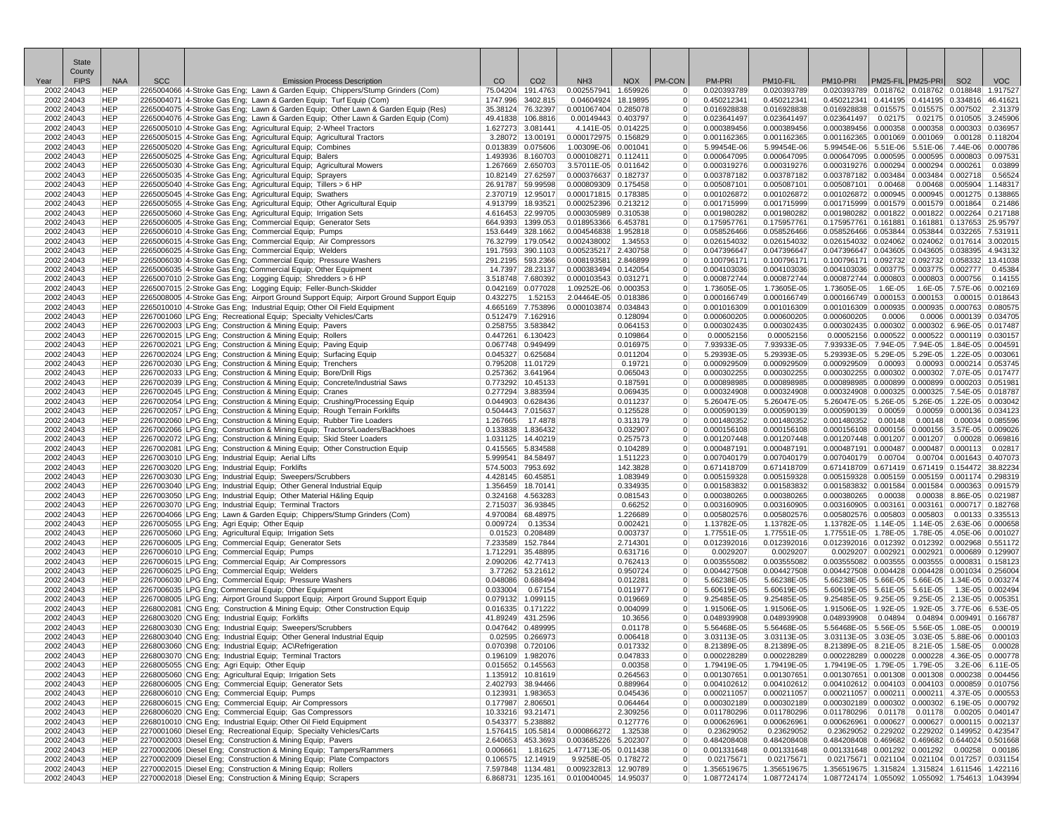| <b>State</b><br>County   |                          |            |                                                                                                                                                                                                                                                                                                                                                                                                                                                                                                                                                           |                                        |                                        |                                              |                      |                                  |                            |                            |                                                                                                    |           |                                               |                           |            |
|--------------------------|--------------------------|------------|-----------------------------------------------------------------------------------------------------------------------------------------------------------------------------------------------------------------------------------------------------------------------------------------------------------------------------------------------------------------------------------------------------------------------------------------------------------------------------------------------------------------------------------------------------------|----------------------------------------|----------------------------------------|----------------------------------------------|----------------------|----------------------------------|----------------------------|----------------------------|----------------------------------------------------------------------------------------------------|-----------|-----------------------------------------------|---------------------------|------------|
| <b>FIPS</b><br>Year      | <b>NAA</b>               | <b>SCC</b> | <b>Emission Process Description</b>                                                                                                                                                                                                                                                                                                                                                                                                                                                                                                                       | <sub>CO</sub>                          | CO <sub>2</sub>                        | NH <sub>3</sub>                              |                      | NOX PM-CON                       | PM-PRI                     | PM10-FIL                   | PM10-PRI                                                                                           |           | PM25-FIL PM25-PRI                             | SO <sub>2</sub>           | <b>VOC</b> |
| 2002 24043<br>2002 24043 | HEP<br><b>HEP</b>        |            | 2265004066 4-Stroke Gas Eng; Lawn & Garden Equip; Chippers/Stump Grinders (Com)<br>2265004071 4-Stroke Gas Eng; Lawn & Garden Equip; Turf Equip (Com)                                                                                                                                                                                                                                                                                                                                                                                                     | 75.04204 191.4763                      | 1747.996 3402.815                      | 0.002557941 1.659926<br>0.04604924 18.19895  |                      | $\overline{0}$<br>$\overline{0}$ | 0.020393789<br>0.450212341 | 0.020393789<br>0.450212341 | 0.020393789 0.018762 0.018762 0.018848 1.917527<br>0.450212341 0.414195 0.414195 0.334816 46.4162  |           |                                               |                           |            |
| 2002 24043               | <b>HEP</b>               |            | 2265004075 4-Stroke Gas Eng; Lawn & Garden Equip; Other Lawn & Garden Equip (Res)                                                                                                                                                                                                                                                                                                                                                                                                                                                                         |                                        | 35.38124 76.32397                      | 0.001067404 0.285078                         |                      | $\overline{0}$                   | 0.016928838                | 0.016928838                | 0.016928838 0.015575 0.015575 0.007502                                                             |           |                                               |                           | 2.31379    |
| 2002 24043               | <b>HEP</b>               |            | 2265004076 4-Stroke Gas Eng; Lawn & Garden Equip; Other Lawn & Garden Equip (Com)                                                                                                                                                                                                                                                                                                                                                                                                                                                                         |                                        | 49.41838 106.8816                      | 0.00149443 0.403797                          |                      | $\overline{0}$                   | 0.023641497                | 0.023641497                | 0.023641497                                                                                        |           | 0.02175 0.02175 0.010505 3.245906             |                           |            |
| 2002 24043<br>2002 24043 | <b>HEP</b><br>HEP        |            | 2265005010 4-Stroke Gas Eng; Agricultural Equip; 2-Wheel Tractors<br>2265005010 4-Stroke Gas Eng; Agricultural Equip; 2-Wheel Tractors<br>2265005015 4-Stroke Gas Eng; Agricultural Equip; Combines<br>2265005020 4-Stroke Gas Eng; Agricultural Equip; Combines<br>2265005025 4-Stroke Gas Eng; Agricultura                                                                                                                                                                                                                                              | 1.627273 3.081441                      | 3.28072 13.00191                       | 4.141E-05 0.014225<br>0.000172975 0.156829   |                      | $\overline{0}$<br>$\overline{0}$ | 0.000389456<br>0.001162365 | 0.000389456<br>0.001162365 | $0.000389456$ $0.000358$ $0.000358$ $0.000303$<br>0.001162365 0.001069 0.001069 0.00128 0.118204   |           |                                               |                           | 0.036957   |
| 2002 24043               | <b>HEP</b>               |            |                                                                                                                                                                                                                                                                                                                                                                                                                                                                                                                                                           |                                        | 0.013839 0.075606                      | 1.00309E-06 0.001041                         |                      | $\overline{0}$                   | 5.99454E-06                | 5.99454E-06                | 5.99454E-06 5.51E-06 5.51E-06 7.44E-06 0.000786                                                    |           |                                               |                           |            |
| 2002 24043               | <b>HEP</b>               |            |                                                                                                                                                                                                                                                                                                                                                                                                                                                                                                                                                           |                                        | 1.493936 8.160703                      | 0.000108271 0.112411                         |                      | $\overline{0}$                   | 0.000647095                | 0.000647095                | $0.000647095$ $0.000595$ $0.000595$ $0.000803$                                                     |           |                                               |                           | 0.09753    |
| 2002 24043               | <b>HEP</b>               |            |                                                                                                                                                                                                                                                                                                                                                                                                                                                                                                                                                           | 1.267669 2.650703                      |                                        | 3.57011E-05 0.011642                         |                      | $\overline{0}$                   | 0.000319276                | 0.000319276                | 0.000319276 0.000294 0.000294 0.000261                                                             |           |                                               |                           | 0.03899    |
| 2002 24043<br>2002 24043 | <b>HEP</b><br><b>HEP</b> |            |                                                                                                                                                                                                                                                                                                                                                                                                                                                                                                                                                           | 26.91787 59.99598                      | 10.82149 27.62597                      | 0.000376637 0.182737<br>0.000809309 0.175458 |                      | $\overline{0}$<br>$\overline{0}$ | 0.003787182<br>0.005087101 | 0.003787182<br>0.005087101 | 0.003787182 0.003484 0.003484 0.002718<br>0.005087101                                              | 0.00468   | 0.00468 0.005904 1.148317                     |                           | 0.56524    |
| 2002 24043               | <b>HEP</b>               |            |                                                                                                                                                                                                                                                                                                                                                                                                                                                                                                                                                           | 2.370719 12.95017                      |                                        | 0.000171815 0.178385                         |                      | $\overline{0}$                   | 0.001026872                | 0.001026872                | 0.001026872 0.000945 0.000945 0.001275 0.138865                                                    |           |                                               |                           |            |
| 2002 24043               | <b>HEP</b>               |            |                                                                                                                                                                                                                                                                                                                                                                                                                                                                                                                                                           | 4.913799 18.93521                      |                                        | 0.000252396 0.213212                         |                      | $\overline{0}$                   | 0.001715999                | 0.001715999                | $0.001715999$ $0.001579$ $0.001579$ $0.001864$                                                     |           |                                               |                           | 0.21486    |
| 2002 24043<br>2002 24043 | <b>HEP</b><br><b>HEP</b> |            |                                                                                                                                                                                                                                                                                                                                                                                                                                                                                                                                                           | 4.616453 22.99705                      | 664.9393 1399.053                      | 0.000305989 0.310538<br>0.018953366 6.453781 |                      | $\overline{0}$<br>$\overline{0}$ | 0.001980282<br>0.175957761 | 0.001980282<br>0.175957761 | 0.001980282 0.001822 0.001822 0.002264 0.217188<br>0.175957761 0.161881 0.161881 0.137653 25.95797 |           |                                               |                           |            |
| 2002 24043               | <b>HEP</b>               |            |                                                                                                                                                                                                                                                                                                                                                                                                                                                                                                                                                           | 153.6449 328.1662                      |                                        | 0.004546838 1.952818                         |                      | $\overline{0}$                   | 0.058526466                | 0.058526466                | 0.058526466 0.053844 0.053844 0.032265 7.53191                                                     |           |                                               |                           |            |
| 2002 24043               | HEP                      |            |                                                                                                                                                                                                                                                                                                                                                                                                                                                                                                                                                           | 76.32799 179.0542                      |                                        | 0.002438002                                  | 1.34553              | $\overline{0}$                   | 0.026154032                | 0.026154032                | 0.026154032 0.024062 0.024062 0.017614 3.002015                                                    |           |                                               |                           |            |
| 2002 24043               | <b>HEP</b>               |            |                                                                                                                                                                                                                                                                                                                                                                                                                                                                                                                                                           |                                        | 191.7593 390.1103                      | 0.005235217 2.430758                         |                      | $\overline{0}$                   | 0.047396647                | 0.047396647                | 0.047396647 0.043605 0.043605 0.038395 4.943132                                                    |           |                                               |                           |            |
| 2002 24043<br>2002 24043 | <b>HEP</b><br><b>HEP</b> |            |                                                                                                                                                                                                                                                                                                                                                                                                                                                                                                                                                           |                                        | 291.2195 593.2366<br>14.7397 28.23137  | 0.008193581 2.846899<br>0.000383494 0.142054 |                      | $\overline{0}$<br>$\overline{0}$ | 0.100796171<br>0.004103036 | 0.100796171<br>0.004103036 | 0.100796171 0.092732 0.092732 0.058332 13.41038<br>$0.004103036$ 0.003775 0.003775 0.002777        |           |                                               |                           | 0.45384    |
| 2002 24043               | <b>HEP</b>               |            |                                                                                                                                                                                                                                                                                                                                                                                                                                                                                                                                                           | 3.518748 7.680392                      |                                        | 0.000103543 0.031271                         |                      | $\overline{0}$                   | 0.000872744                | 0.000872744                | $0.000872744$ $0.000803$ $0.000803$ $0.000756$                                                     |           |                                               |                           | 0.14155    |
| 2002 24043               | <b>HEP</b>               |            |                                                                                                                                                                                                                                                                                                                                                                                                                                                                                                                                                           | 0.042169 0.077028                      |                                        | 1.09252E-06 0.000353                         |                      | $\overline{0}$                   | 1.73605E-05                | 1.73605E-05                | 1.73605E-05                                                                                        | $1.6E-05$ |                                               | 1.6E-05 7.57E-06 0.002169 |            |
| 2002 24043               | <b>HEP</b><br><b>HEP</b> |            | 2265008005 4-Stroke Gas Eng; Airport Ground Support Equip; Airport Ground Support Equip<br>2265010010 4-Stroke Gas Eng; Industrial Equip; Other Oil Field Equipment                                                                                                                                                                                                                                                                                                                                                                                       | 0.432275                               | 1.52153                                | 2.04464E-05 0.018386<br>0.000103874 0.034843 |                      | $\overline{0}$<br>$\overline{0}$ | 0.000166749<br>0.001016309 | 0.000166749<br>0.001016309 | 0.000166749 0.000153 0.000153 0.00015 0.018643                                                     |           |                                               |                           |            |
| 2002 24043<br>2002 24043 | <b>HEP</b>               |            | $\label{eq:2} \frac{1}{\sqrt{2}}\left(\frac{1}{\sqrt{2}}\right)^{2} \left(\frac{1}{\sqrt{2}}\right)^{2} \left(\frac{1}{\sqrt{2}}\right)^{2} \left(\frac{1}{\sqrt{2}}\right)^{2} \left(\frac{1}{\sqrt{2}}\right)^{2} \left(\frac{1}{\sqrt{2}}\right)^{2} \left(\frac{1}{\sqrt{2}}\right)^{2} \left(\frac{1}{\sqrt{2}}\right)^{2} \left(\frac{1}{\sqrt{2}}\right)^{2} \left(\frac{1}{\sqrt{2}}\right)^{2} \left(\frac{1}{\sqrt{2}}\right)^{2} \left(\frac{$<br>2267001060 LPG Eng; Recreational Equip; Specialty Vehicles/Carts                             | 0.512479 7.162916                      | 4.665169 7.753896                      |                                              | 0.128094             | $\overline{0}$                   | 0.000600205                | 0.000600205                | 0.001016309 0.000935 0.000935 0.000763 0.080575<br>0.000600205                                     | 0.0006    |                                               | 0.0006 0.000139 0.034705  |            |
| 2002 24043               | <b>HEP</b>               |            | 2267002003 LPG Eng; Construction & Mining Equip; Pavers                                                                                                                                                                                                                                                                                                                                                                                                                                                                                                   | 0.258755 3.583842                      |                                        |                                              | 0.064153             | $\overline{0}$                   | 0.000302435                | 0.000302435                | 0.000302435 0.000302 0.000302 6.96E-05 0.017487                                                    |           |                                               |                           |            |
| 2002 24043               | <b>HEP</b>               |            | 2267002015 LPG Eng; Construction & Mining Equip; Rollers                                                                                                                                                                                                                                                                                                                                                                                                                                                                                                  | 0.447261 6.130423                      |                                        |                                              | 0.109864             | $\overline{0}$                   | 0.00052156                 | 0.00052156                 | 0.00052156 0.000522 0.000522 0.000119 0.030157                                                     |           |                                               |                           |            |
| 2002 24043<br>2002 24043 | <b>HEP</b><br><b>HEP</b> |            | $\frac{1}{\sqrt{1-\frac{1}{2}}\sqrt{1-\frac{1}{2}}\sqrt{1-\frac{1}{2}}\sqrt{1-\frac{1}{2}}\sqrt{1-\frac{1}{2}}\sqrt{1-\frac{1}{2}}\sqrt{1-\frac{1}{2}}\sqrt{1-\frac{1}{2}}\sqrt{1-\frac{1}{2}}\sqrt{1-\frac{1}{2}}\sqrt{1-\frac{1}{2}}\sqrt{1-\frac{1}{2}}\sqrt{1-\frac{1}{2}}\sqrt{1-\frac{1}{2}}\sqrt{1-\frac{1}{2}}\sqrt{1-\frac{1}{2}}\sqrt{1-\frac{1}{2}}\sqrt{1-\frac{1}{2}}\sqrt{1-\frac{1}{2}}\sqrt{1-\frac$<br>2267002021 LPG Eng; Construction & Mining Equip; Paving Equip<br>2267002024 LPG Eng; Construction & Mining Equip; Surfacing Equip | 0.067748 0.949499<br>0.045327 0.625684 |                                        |                                              | 0.016975<br>0.011204 | $\overline{0}$<br>$\overline{0}$ | 7.93933E-05<br>5.29393E-05 | 7.93933E-05<br>5.29393E-05 | 7.93933E-05 7.94E-05 7.94E-05 1.84E-05 0.00459<br>5.29393E-05 5.29E-05 5.29E-05 1.22E-05 0.00306   |           |                                               |                           |            |
| 2002 24043               | <b>HEP</b>               |            | 2267002030 LPG Eng; Construction & Mining Equip; Trenchers                                                                                                                                                                                                                                                                                                                                                                                                                                                                                                | 0.795208 11.01729                      |                                        |                                              | 0.19721              | $\overline{0}$                   | 0.000929509                | 0.000929509                | 0.000929509                                                                                        | 0.00093   | 0.00093 0.000214 0.053745                     |                           |            |
| 2002 24043               | <b>HEP</b>               |            | 2267002030 LPG Eng; Construction & Mining Equip; Trenchers<br>2267002033 LPG Eng; Construction & Mining Equip; Bore/Drill Rigs<br>2267002039 LPG Eng; Construction & Mining Equip; Concrete/Industrial Saws                                                                                                                                                                                                                                                                                                                                               | 0.257362 3.641964                      |                                        |                                              | 0.065043             | $\overline{0}$                   | 0.000302255                | 0.000302255                | 0.000302255 0.000302 0.000302 7.07E-05 0.017477                                                    |           |                                               |                           |            |
| 2002 24043               | <b>HEP</b>               |            |                                                                                                                                                                                                                                                                                                                                                                                                                                                                                                                                                           | 0.773292 10.45133                      |                                        |                                              | 0.187591             | $\overline{0}$                   | 0.000898985                | 0.000898985                | 0.000898985 0.000899 0.000899 0.000203 0.051981                                                    |           |                                               |                           |            |
| 2002 24043<br>2002 24043 | <b>HEP</b><br><b>HEP</b> |            | 2267002045 LPG Eng; Construction & Mining Equip; Cranes<br>2267002054 LPG Eng; Construction & Mining Equip; Crushing/Processing Equip                                                                                                                                                                                                                                                                                                                                                                                                                     | 0.277294 3.883594<br>0.044903 0.628436 |                                        |                                              | 0.069435<br>0.011237 | $\overline{0}$<br>$\overline{0}$ | 0.000324908<br>5.26047E-05 | 0.000324908<br>5.26047E-05 | 0.000324908 0.000325 0.000325 7.54E-05 0.018787<br>5.26047E-05 5.26E-05 5.26E-05 1.22E-05 0.003042 |           |                                               |                           |            |
| 2002 24043               | <b>HEP</b>               |            | 2267002057 LPG Eng; Construction & Mining Equip; Rough Terrain Forklifts                                                                                                                                                                                                                                                                                                                                                                                                                                                                                  | 0.504443 7.015637                      |                                        |                                              | 0.125528             | $\overline{0}$                   | 0.000590139                | 0.000590139                | 0.000590139                                                                                        | 0.00059   | 0.00059 0.000136 0.034123                     |                           |            |
| 2002 24043               | <b>HEP</b>               |            | 2267002060 LPG Eng; Construction & Mining Equip; Rubber Tire Loaders                                                                                                                                                                                                                                                                                                                                                                                                                                                                                      | 1.267665                               | 17.4878                                |                                              | 0.313179             | $\overline{0}$                   | 0.001480352                | 0.001480352                | 0.001480352                                                                                        | 0.00148   | $0.00148$ $0.00034$ 0.085596                  |                           |            |
| 2002 24043<br>2002 24043 | <b>HEP</b><br><b>HEP</b> |            | 2267002066 LPG Eng; Construction & Mining Equip; Tractors/Loaders/Backhoes<br>2267002072 LPG Eng; Construction & Mining Equip; Skid Steer Loaders                                                                                                                                                                                                                                                                                                                                                                                                         | 0.133838 1.836432<br>1.031125 14.40219 |                                        |                                              | 0.032907<br>0.257573 | $\overline{0}$<br>$\overline{0}$ | 0.000156108<br>0.001207448 | 0.000156108<br>0.001207448 | 0.000156108 0.000156 0.000156 3.57E-05 0.009026<br>0.001207448 0.001207 0.001207 0.00028 0.069816  |           |                                               |                           |            |
| 2002 24043               | <b>HEP</b>               |            | 2267002081 LPG Eng; Construction & Mining Equip; Other Construction Equip                                                                                                                                                                                                                                                                                                                                                                                                                                                                                 | 0.415565 5.834588                      |                                        |                                              | 0.104289             | $\overline{0}$                   | 0.000487191                | 0.000487191                | $0.000487191$ 0.000487 0.000487 0.000113                                                           |           |                                               |                           | 0.02817    |
| 2002 24043               | <b>HEP</b>               |            | 2267003010 LPG Eng; Industrial Equip; Aerial Lifts<br>nder Scheideleider<br>Adustrial Equip<br>I&ling Equip<br>Ts                                                                                                                                                                                                                                                                                                                                                                                                                                         | 5.999541 84.58497                      |                                        |                                              | 1.511223             | $\overline{0}$                   | 0.007040179                | 0.007040179                | 0.007040179                                                                                        | 0.00704   | 0.00704 0.001643 0.407073                     |                           |            |
| 2002 24043               | <b>HEP</b>               |            | 2267003020 LPG Eng; Industrial Equip; Forklifts                                                                                                                                                                                                                                                                                                                                                                                                                                                                                                           | 574.5003 7953.692                      |                                        |                                              | 142.3828             | $\overline{0}$                   | 0.671418709                | 0.671418709                | 0.671418709 0.671419 0.671419 0.154472 38.82234                                                    |           |                                               |                           |            |
| 2002 24043<br>2002 24043 | <b>HEP</b><br><b>HEP</b> |            | 2267003030 LPG Eng; Industrial Equip; Sweepers/Scrubbers<br>2267003040 LPG Eng; Industrial Equip; Other General Industrial Equip                                                                                                                                                                                                                                                                                                                                                                                                                          | 4.428145 60.45851<br>1.356459 18.70141 |                                        |                                              | 1.083949<br>0.334935 | $\overline{0}$<br>$\overline{0}$ | 0.005159328<br>0.001583832 | 0.005159328<br>0.001583832 | 0.005159328 0.005159 0.005159 0.001174 0.298319<br>0.001583832 0.001584 0.001584 0.000363 0.091579 |           |                                               |                           |            |
| 2002 24043               | <b>HEP</b>               |            | 2267003050 LPG Eng; Industrial Equip; Other Material H&ling Equip                                                                                                                                                                                                                                                                                                                                                                                                                                                                                         | 0.324168 4.563283                      |                                        |                                              | 0.081543             | $\overline{0}$                   | 0.000380265                | 0.000380265                | 0.000380265                                                                                        | 0.00038   | 0.00038 8.86E-05 0.021987                     |                           |            |
| 2002 24043               | <b>HEP</b>               |            | 2267003070 LPG Eng; Industrial Equip; Terminal Tractors                                                                                                                                                                                                                                                                                                                                                                                                                                                                                                   | 2.715037 36.93845                      |                                        |                                              | 0.66252              | $\overline{0}$                   | 0.003160905                | 0.003160905                | $0.003160905$ 0.003161                                                                             |           | 0.003161 0.000717 0.182768                    |                           |            |
| 2002 24043<br>2002 24043 | <b>HEP</b><br><b>HEP</b> |            | 2267004066 LPG Eng; Industrial Equip; Terminal Tractors<br>2267004066 LPG Eng; Lawn & Garden Equip; Chippers/Stump Grinders (Com)<br>2267005055 LPG Eng; Agri Equip; Other Equip                                                                                                                                                                                                                                                                                                                                                                          | 4.970084 68.48975<br>0.009724          | 0.13534                                |                                              | 1.226689<br>0.002421 | $\overline{0}$<br>$\overline{0}$ | 0.005802576<br>1.13782E-05 | 0.005802576<br>1.13782E-05 | 0.005802576 0.005803 0.005803 0.00133 0.335513<br>1.13782E-05 1.14E-05 1.14E-05 2.63E-06 0.000658  |           |                                               |                           |            |
| 2002 24043               | <b>HEP</b>               |            | 2267005060 LPG Eng; Agricultural Equip; Irrigation Sets                                                                                                                                                                                                                                                                                                                                                                                                                                                                                                   |                                        | 0.01523 0.208489                       |                                              | 0.003737             | $\overline{0}$                   | 1.77551E-05                | 1.77551E-05                | 1.77551E-05 1.78E-05 1.78E-05 4.05E-06 0.001027                                                    |           |                                               |                           |            |
| 2002 24043               | <b>HEP</b>               |            | 2267006005 LPG Eng; Commercial Equip; Generator Sets                                                                                                                                                                                                                                                                                                                                                                                                                                                                                                      | 7.233589 152.7844                      |                                        |                                              | 2.714301             | $\overline{0}$                   | 0.012392016                | 0.012392016                | 0.012392016 0.012392 0.012392 0.002968 0.551172                                                    |           |                                               |                           |            |
| 2002 24043               | <b>HEP</b>               |            | 2267006010 LPG Eng; Commercial Equip; Pumps                                                                                                                                                                                                                                                                                                                                                                                                                                                                                                               | 1.712291 35.48895                      |                                        |                                              | 0.631716             | $\overline{0}$                   | 0.0029207                  | 0.0029207                  |                                                                                                    |           | 0.0029207 0.002921 0.002921 0.000689 0.129907 |                           |            |
| 2002 24043<br>2002 24043 | <b>HEP</b><br><b>HEP</b> |            | 2267006015 LPG Eng: Commercial Equip: Air Compressors<br>2267006025 LPG Eng; Commercial Equip; Welders                                                                                                                                                                                                                                                                                                                                                                                                                                                    | 2.090206 42.77413                      | 3.77262 53.21612                       |                                              | 0.762413<br>0.950724 | $\overline{0}$<br>$\overline{0}$ | 0.003555082<br>0.004427508 | 0.003555082<br>0.004427508 | 0.003555082 0.003555 0.003555 0.000831 0.158123<br>0.004427508 0.004428 0.004428 0.001034 0.256004 |           |                                               |                           |            |
| 2002 24043               | <b>HEP</b>               |            | 2267006030 LPG Eng; Commercial Equip; Pressure Washers                                                                                                                                                                                                                                                                                                                                                                                                                                                                                                    | 0.048086 0.688494                      |                                        |                                              | 0.012281             | $\overline{0}$                   | 5.66238E-05                | 5.66238E-05                | 5.66238E-05 5.66E-05 5.66E-05 1.34E-05 0.003274                                                    |           |                                               |                           |            |
| 2002 24043               | <b>HEP</b>               |            | 2267006035 LPG Eng; Commercial Equip; Other Equipment                                                                                                                                                                                                                                                                                                                                                                                                                                                                                                     | 0.033004                               | 0.67154                                |                                              | 0.011977             | $\overline{0}$                   | 5.60619E-05                | 5.60619E-05                | 5.60619E-05 5.61E-05 5.61E-05 1.3E-05 0.002494                                                     |           |                                               |                           |            |
| 2002 24043<br>2002 24043 | <b>HEP</b><br>HEP        |            | 2267008005 LPG Eng; Airport Ground Support Equip; Airport Ground Support Equip<br>2268002081 CNG Eng; Construction & Mining Equip; Other Construction Equip                                                                                                                                                                                                                                                                                                                                                                                               | 0.079132 1.099115<br>0.016335 0.171222 |                                        |                                              | 0.019669<br>0.004099 | $\overline{0}$<br>$\overline{0}$ | 9.25485E-05<br>1.91506E-05 | 9.25485E-05<br>1.91506E-05 | 9.25485E-05 9.25E-05 9.25E-05 2.13E-05 0.005351<br>1.91506E-05 1.92E-05 1.92E-05 3.77E-06 6.53E-05 |           |                                               |                           |            |
| 2002 24043               | <b>HEP</b>               |            | 2268003020 CNG Eng; Industrial Equip; Forklifts                                                                                                                                                                                                                                                                                                                                                                                                                                                                                                           | 41.89249 431.2596                      |                                        |                                              | 10.3656              | $\overline{0}$                   | 0.048939908                | 0.048939908                | 0.048939908                                                                                        | 0.04894   | 0.04894 0.009491 0.166787                     |                           |            |
| 2002 24043               | <b>HEP</b>               |            | $\begin{tabular}{ c c } \hline \quad \quad & \quad \quad & \quad \quad \\ \hline \quad \quad & \quad \quad & \quad \quad \\ \hline \quad \quad & \quad \quad & \quad \quad \\ \hline \quad \quad & \quad \quad & \quad \quad \\ \hline \quad \quad & \quad \quad & \quad \quad \\ \hline \quad \quad & \quad \quad & \quad \quad \\ \hline \end{tabular}$<br>2268003030 CNG Eng; Industrial Equip; Sweepers/Scrubbers                                                                                                                                     | 0.047642 0.489995                      |                                        |                                              | 0.01178              | $\overline{0}$                   | 5.56468E-05                | 5.56468E-05                | 5.56468E-05 5.56E-05 5.56E-05 1.08E-05                                                             |           |                                               |                           | 0.00019    |
| 2002 24043               | <b>HEP</b>               |            | 2268003040 CNG Eng; Industrial Equip; Other General Industrial Equip                                                                                                                                                                                                                                                                                                                                                                                                                                                                                      |                                        | 0.02595 0.266973                       |                                              | 0.006418             | $\overline{0}$                   | 3.03113E-05                | 3.03113E-05                | 3.03113E-05 3.03E-05 3.03E-05 5.88E-06 0.000103                                                    |           |                                               |                           |            |
| 2002 24043<br>2002 24043 | <b>HEP</b><br><b>HEP</b> |            | 2268003060 CNG Eng; Industrial Equip; AC\Refrigeration<br>2268003070 CNG Eng; Industrial Equip; Terminal Tractors                                                                                                                                                                                                                                                                                                                                                                                                                                         |                                        | 0.070398 0.720106<br>0.196109 1.982076 |                                              | 0.017332<br>0.047833 | $\overline{0}$                   | 8.21389E-05<br>0.000228289 | 8.21389E-05<br>0.000228289 | 8.21389E-05 8.21E-05 8.21E-05 1.58E-05 0.00028<br>0.000228289 0.000228 0.000228 4.36E-05 0.000778  |           |                                               |                           |            |
| 2002 24043               | <b>HEP</b>               |            | 2268005055 CNG Eng; Agri Equip; Other Equip                                                                                                                                                                                                                                                                                                                                                                                                                                                                                                               |                                        | 0.015652 0.145563                      |                                              | 0.00358              | $\overline{0}$                   | 1.79419E-05                | 1.79419E-05                | 1.79419E-05  1.79E-05  1.79E-05  3.2E-06  6.11E-05                                                 |           |                                               |                           |            |
| 2002 24043               | <b>HEP</b>               |            | 2268005060 CNG Eng; Agricultural Equip; Irrigation Sets                                                                                                                                                                                                                                                                                                                                                                                                                                                                                                   |                                        | 1.135912 10.81619                      |                                              | 0.264563             | $\overline{0}$                   | 0.001307651                | 0.001307651                | 0.001307651 0.001308 0.001308 0.000238 0.004456                                                    |           |                                               |                           |            |
| 2002 24043<br>2002 24043 | <b>HEP</b><br><b>HEP</b> |            | 2268006005 CNG Eng; Commercial Equip; Generator Sets<br>2268006010 CNG Eng; Commercial Equip; Pumps                                                                                                                                                                                                                                                                                                                                                                                                                                                       |                                        | 2.402793 38.94466<br>0.123931 1.983653 |                                              | 0.889964<br>0.045436 | $\overline{0}$<br>$\overline{0}$ | 0.004102612<br>0.000211057 | 0.004102612<br>0.000211057 | 0.004102612 0.004103 0.004103 0.000859 0.010756<br>0.000211057 0.000211 0.000211 4.37E-05 0.000553 |           |                                               |                           |            |
| 2002 24043               | <b>HEP</b>               |            | 2268006015 CNG Eng: Commercial Equip: Air Compressors                                                                                                                                                                                                                                                                                                                                                                                                                                                                                                     | 0.177987 2.806501                      |                                        |                                              | 0.064464             | $\overline{0}$                   | 0.000302189                | 0.000302189                | 0.000302189 0.000302 0.000302 6.19E-05 0.000792                                                    |           |                                               |                           |            |
| 2002 24043               | <b>HEP</b>               |            | 2268006020 CNG Eng; Commercial Equip; Gas Compressors                                                                                                                                                                                                                                                                                                                                                                                                                                                                                                     |                                        | 10.33216 93.21471                      |                                              | 2.309256             | $\overline{0}$                   | 0.011780296                | 0.011780296                | 0.011780296 0.01178 0.01178 0.00205 0.040147                                                       |           |                                               |                           |            |
| 2002 24043               | <b>HEP</b>               |            | 2268010010 CNG Eng; Industrial Equip; Other Oil Field Equipment                                                                                                                                                                                                                                                                                                                                                                                                                                                                                           |                                        | 0.543377 5.238882                      |                                              | 0.127776             | $\overline{0}$                   | 0.000626961                | 0.000626961                | $0.000626961$ $0.000627$ $0.000627$ $0.000115$ $0.002137$                                          |           |                                               |                           |            |
| 2002 24043<br>2002 24043 | <b>HEP</b><br><b>HEP</b> |            | 2270001060 Diesel Eng; Recreational Equip; Specialty Vehicles/Carts<br>2270002003 Diesel Eng; Construction & Mining Equip; Pavers                                                                                                                                                                                                                                                                                                                                                                                                                         |                                        | 1.576415 105.5814<br>2.640653 453.3693 | 0.000866272<br>0.003685226 5.202307          | 1.32538              | $\overline{0}$<br>$\overline{0}$ | 0.23629052<br>0.484208408  | 0.23629052<br>0.484208408  | 0.23629052 0.229202 0.229202 0.149952 0.423547<br>0.484208408 0.469682 0.469682 0.644024 0.501668  |           |                                               |                           |            |
| 2002 24043               | <b>HEP</b>               |            | 2270002006 Diesel Eng; Construction & Mining Equip; Tampers/Rammers                                                                                                                                                                                                                                                                                                                                                                                                                                                                                       |                                        | 0.006661 1.81625                       | 1.47713E-05 0.011438                         |                      | $\overline{0}$                   | 0.001331648                | 0.001331648                | 0.001331648 0.001292 0.001292 0.00258 0.00186                                                      |           |                                               |                           |            |
| 2002 24043               | <b>HEP</b>               |            | 2270002009 Diesel Eng; Construction & Mining Equip; Plate Compactors                                                                                                                                                                                                                                                                                                                                                                                                                                                                                      |                                        | 0.106575 12.14919                      | 9.9258E-05 0.178272                          |                      | $\overline{0}$                   | 0.02175671                 | 0.02175671                 | 0.02175671 0.021104 0.021104 0.017257 0.031154                                                     |           |                                               |                           |            |
| 2002 24043<br>2002 24043 | <b>HEP</b><br><b>HEP</b> |            | 2270002015 Diesel Eng; Construction & Mining Equip; Rollers<br>2270002018 Diesel Eng; Construction & Mining Equip; Scrapers                                                                                                                                                                                                                                                                                                                                                                                                                               |                                        | 7.597848 1134.481<br>6.868731 1235.161 | 0.009232813 12.90789<br>0.010040045 14.95037 |                      | $\overline{0}$<br>$\overline{0}$ | 1.356519675<br>1.087724174 | 1.356519675<br>1.087724174 | 1.356519675 1.315824 1.315824 1.611546 1.422116<br>1.087724174 1.055092 1.055092 1.754613 1.043994 |           |                                               |                           |            |
|                          |                          |            |                                                                                                                                                                                                                                                                                                                                                                                                                                                                                                                                                           |                                        |                                        |                                              |                      |                                  |                            |                            |                                                                                                    |           |                                               |                           |            |